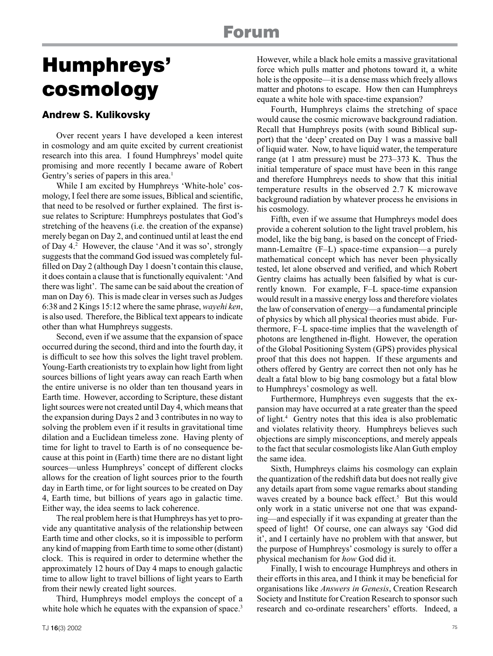## Humphreys' cosmology

## Andrew S. Kulikovsky

Over recent years I have developed a keen interest in cosmology and am quite excited by current creationist research into this area. I found Humphreys' model quite promising and more recently I became aware of Robert Gentry's series of papers in this area.<sup>1</sup>

While I am excited by Humphreys 'White-hole' cosmology, I feel there are some issues, Biblical and scientific, that need to be resolved or further explained. The first issue relates to Scripture: Humphreys postulates that God's stretching of the heavens (i.e. the creation of the expanse) merely began on Day 2, and continued until at least the end of Day 4.2 However, the clause 'And it was so', strongly suggests that the command God issued was completely fulfilled on Day 2 (although Day 1 doesn't contain this clause, it does contain a clause that is functionally equivalent: 'And there was light'. The same can be said about the creation of man on Day 6). This is made clear in verses such as Judges 6:38 and 2 Kings 15:12 where the same phrase, *wayehi ken*, is also used. Therefore, the Biblical text appears to indicate other than what Humphreys suggests.

Second, even if we assume that the expansion of space occurred during the second, third and into the fourth day, it is difficult to see how this solves the light travel problem. Young-Earth creationists try to explain how light from light sources billions of light years away can reach Earth when the entire universe is no older than ten thousand years in Earth time. However, according to Scripture, these distant light sources were not created until Day 4, which means that the expansion during Days 2 and 3 contributes in no way to solving the problem even if it results in gravitational time dilation and a Euclidean timeless zone. Having plenty of time for light to travel to Earth is of no consequence because at this point in (Earth) time there are no distant light sources—unless Humphreys' concept of different clocks allows for the creation of light sources prior to the fourth day in Earth time, or for light sources to be created on Day 4, Earth time, but billions of years ago in galactic time. Either way, the idea seems to lack coherence.

The real problem here is that Humphreys has yet to provide any quantitative analysis of the relationship between Earth time and other clocks, so it is impossible to perform any kind of mapping from Earth time to some other (distant) clock. This is required in order to determine whether the approximately 12 hours of Day 4 maps to enough galactic time to allow light to travel billions of light years to Earth from their newly created light sources.

Third, Humphreys model employs the concept of a white hole which he equates with the expansion of space.<sup>3</sup>

**TJ 16**(3) 2002 **75** 

However, while a black hole emits a massive gravitational force which pulls matter and photons toward it, a white hole is the opposite—it is a dense mass which freely allows matter and photons to escape. How then can Humphreys equate a white hole with space-time expansion?

Fourth, Humphreys claims the stretching of space would cause the cosmic microwave background radiation. Recall that Humphreys posits (with sound Biblical support) that the 'deep' created on Day 1 was a massive ball of liquid water. Now, to have liquid water, the temperature range (at 1 atm pressure) must be 273–373 K. Thus the initial temperature of space must have been in this range and therefore Humphreys needs to show that this initial temperature results in the observed 2.7 K microwave background radiation by whatever process he envisions in his cosmology.

Fifth, even if we assume that Humphreys model does provide a coherent solution to the light travel problem, his model, like the big bang, is based on the concept of Friedmann-Lemaître (F–L) space-time expansion—a purely mathematical concept which has never been physically tested, let alone observed and verified, and which Robert Gentry claims has actually been falsified by what is currently known. For example, F–L space-time expansion would result in a massive energy loss and therefore violates the law of conservation of energy—a fundamental principle of physics by which all physical theories must abide. Furthermore, F–L space-time implies that the wavelength of photons are lengthened in-flight. However, the operation of the Global Positioning System (GPS) provides physical proof that this does not happen. If these arguments and others offered by Gentry are correct then not only has he dealt a fatal blow to big bang cosmology but a fatal blow to Humphreys' cosmology as well.

Furthermore, Humphreys even suggests that the expansion may have occurred at a rate greater than the speed of light.4 Gentry notes that this idea is also problematic and violates relativity theory. Humphreys believes such objections are simply misconceptions, and merely appeals to the fact that secular cosmologists like Alan Guth employ the same idea.

Sixth, Humphreys claims his cosmology can explain the quantization of the redshift data but does not really give any details apart from some vague remarks about standing waves created by a bounce back effect. $5$  But this would only work in a static universe not one that was expanding—and especially if it was expanding at greater than the speed of light! Of course, one can always say 'God did it', and I certainly have no problem with that answer, but the purpose of Humphreys' cosmology is surely to offer a physical mechanism for *how* God did it.

Finally, I wish to encourage Humphreys and others in their efforts in this area, and I think it may be beneficial for organisations like *Answers in Genesis*, Creation Research Society and Institute for Creation Research to sponsor such research and co-ordinate researchers' efforts. Indeed, a